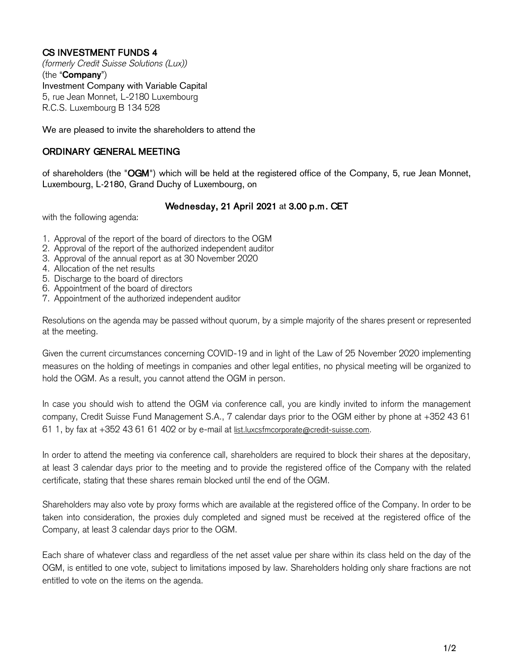## CS INVESTMENT FUNDS 4

*(formerly Credit Suisse Solutions (Lux))* (the "**Company**") Investment Company with Variable Capital 5, rue Jean Monnet, L-2180 Luxembourg R.C.S. Luxembourg B 134 528

We are pleased to invite the shareholders to attend the

## ORDINARY GENERAL MEETING

of shareholders (the "OGM") which will be held at the registered office of the Company, 5, rue Jean Monnet, Luxembourg, L-2180, Grand Duchy of Luxembourg, on

## Wednesday, 21 April 2021 at 3.00 p.m. CET

with the following agenda:

- 1. Approval of the report of the board of directors to the OGM
- 2. Approval of the report of the authorized independent auditor
- 3. Approval of the annual report as at 30 November 2020
- 4. Allocation of the net results
- 5. Discharge to the board of directors
- 6. Appointment of the board of directors
- 7. Appointment of the authorized independent auditor

Resolutions on the agenda may be passed without quorum, by a simple majority of the shares present or represented at the meeting.

Given the current circumstances concerning COVID-19 and in light of the Law of 25 November 2020 implementing measures on the holding of meetings in companies and other legal entities, no physical meeting will be organized to hold the OGM. As a result, you cannot attend the OGM in person.

In case you should wish to attend the OGM via conference call, you are kindly invited to inform the management company, Credit Suisse Fund Management S.A., 7 calendar days prior to the OGM either by phone at +352 43 61 61 1, by fax at +352 43 61 61 402 or by e-mail at [list.luxcsfmcorporate@credit-suisse.com.](mailto:list.luxcsfmcorporate@credit-suisse.com)

In order to attend the meeting via conference call, shareholders are required to block their shares at the depositary, at least 3 calendar days prior to the meeting and to provide the registered office of the Company with the related certificate, stating that these shares remain blocked until the end of the OGM.

Shareholders may also vote by proxy forms which are available at the registered office of the Company. In order to be taken into consideration, the proxies duly completed and signed must be received at the registered office of the Company, at least 3 calendar days prior to the OGM.

Each share of whatever class and regardless of the net asset value per share within its class held on the day of the OGM, is entitled to one vote, subject to limitations imposed by law. Shareholders holding only share fractions are not entitled to vote on the items on the agenda.